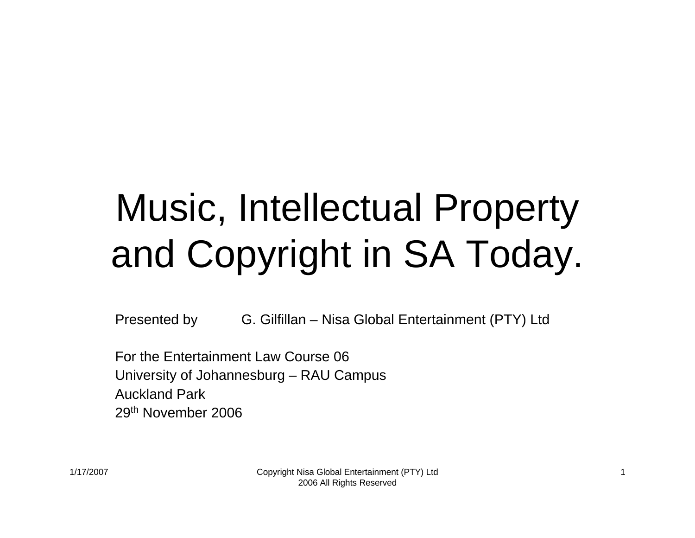# Music, Intellectual Property and Copyright in SA Today.

Presented by G. Gilfillan – Nisa Global Entertainment (PTY) Ltd

For the Entertainment Law Course 06University of Johannesburg – RAU Campus Auckland Park29th November 2006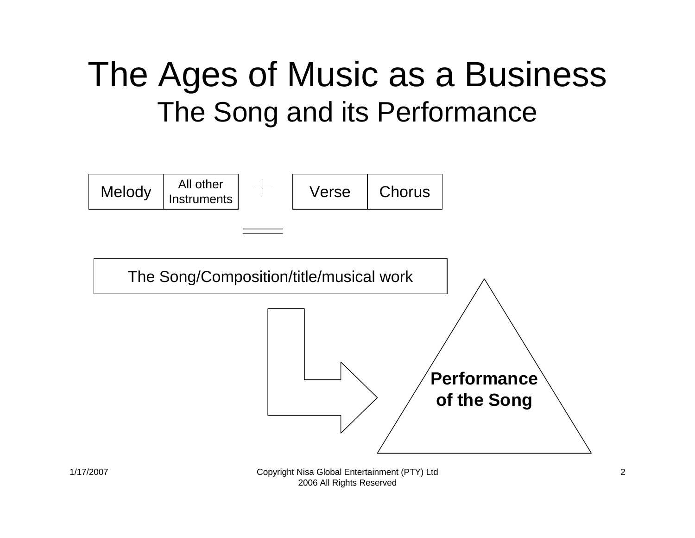#### The Ages of Music as a Business The Song and its Performance

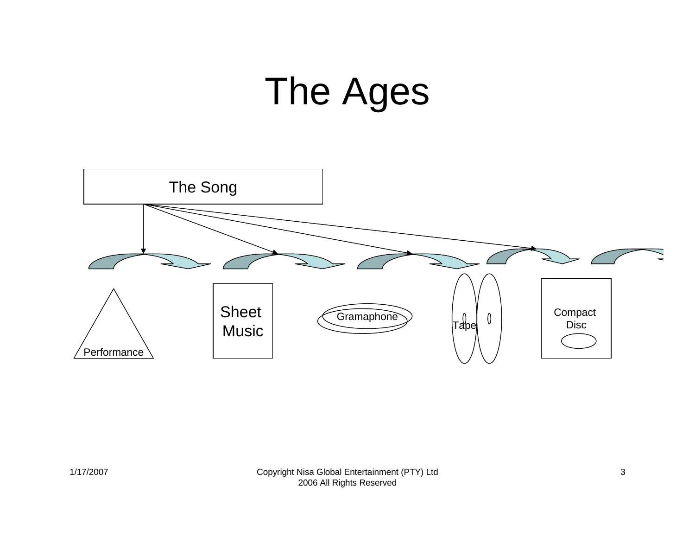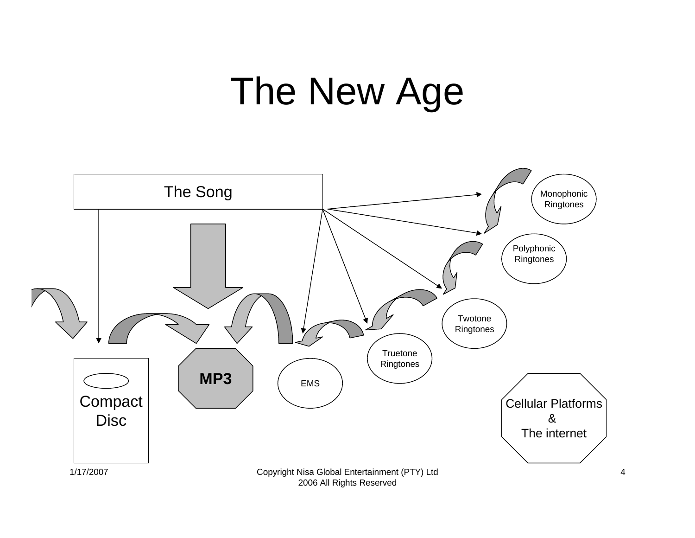## The New Age



2006 All Rights Reserved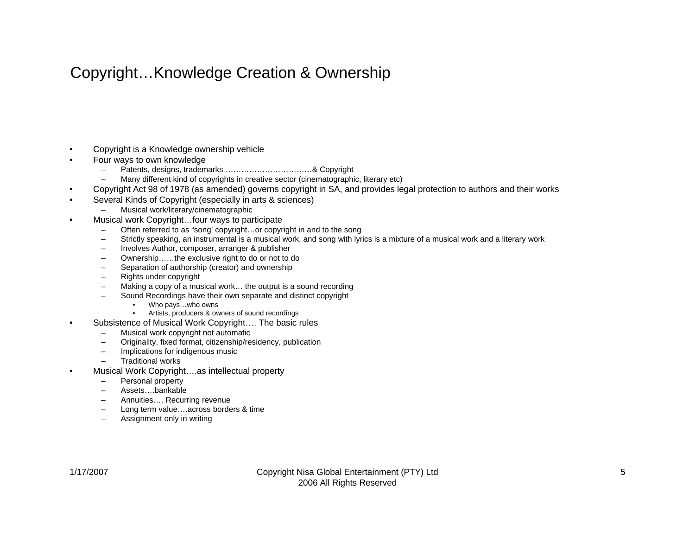#### Copyright…Knowledge Creation & Ownership

- •Copyright is a Knowledge ownership vehicle
- • Four ways to own knowledge
	- –Patents, designs, trademarks ……………………………& Copyright
	- –Many different kind of copyrights in creative sector (cinematographic, literary etc)
- •Copyright Act 98 of 1978 (as amended) governs copyright in SA, and provides legal protection to authors and their works
- • Several Kinds of Copyright (especially in arts & sciences)
	- Musical work/literary/cinematographic
- • Musical work Copyright…four ways to participate
	- –Often referred to as "song' copyright…or copyright in and to the song
	- Strictly speaking, an instrumental is a musical work, and song with lyrics is a mixture of a musical work and a literary work
	- $\equiv$ Involves Author, composer, arranger & publisher
	- –Ownership……the exclusive right to do or not to do
	- Separation of authorship (creator) and ownership
	- –Rights under copyright
	- –Making a copy of a musical work… the output is a sound recording
	- Sound Recordings have their own separate and distinct copyright
		- •Who pays…who owns
		- •Artists, producers & owners of sound recordings
- • Subsistence of Musical Work Copyright…. The basic rules
	- Musical work copyright not automatic
	- –Originality, fixed format, citizenship/residency, publication
	- –Implications for indigenous music
	- Traditional works
- • Musical Work Copyright….as intellectual property
	- –Personal property
	- Assets….bankable
	- Annuities…. Recurring revenue
	- –Long term value….across borders & time
	- –Assignment only in writing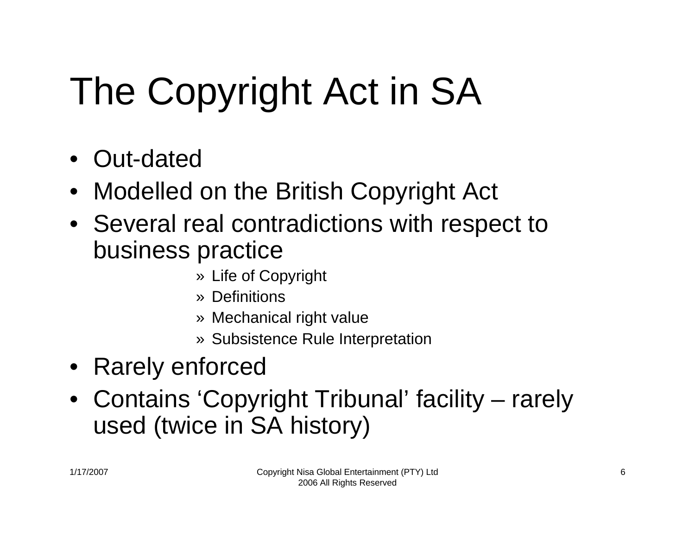# The Copyright Act in SA

- Out-dated
- Modelled on the British Copyright Act
- Several real contradictions with respect to business practice
	- » Life of Copyright
	- » Definitions
	- » Mechanical right value
	- » Subsistence Rule Interpretation
- Rarely enforced
- Contains 'Copyright Tribunal' facility rarely used (twice in SA history)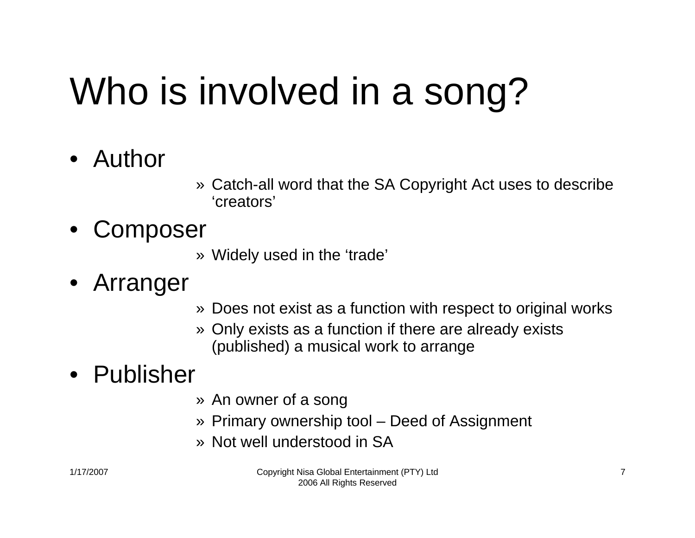# Who is involved in a song?

- Author
- » Catch-all word that the SA Copyright Act uses to describe 'creators'
- $\bullet$ **Composer** 
	- » Widely used in the 'trade'
- Arranger
- » Does not exist as a function with respect to original works
- » Only exists as a function if there are already exists (published) a musical work to arrange

#### • Publisher

- » An owner of a song
- » Primary ownership tool Deed of Assignment
- » Not well understood in SA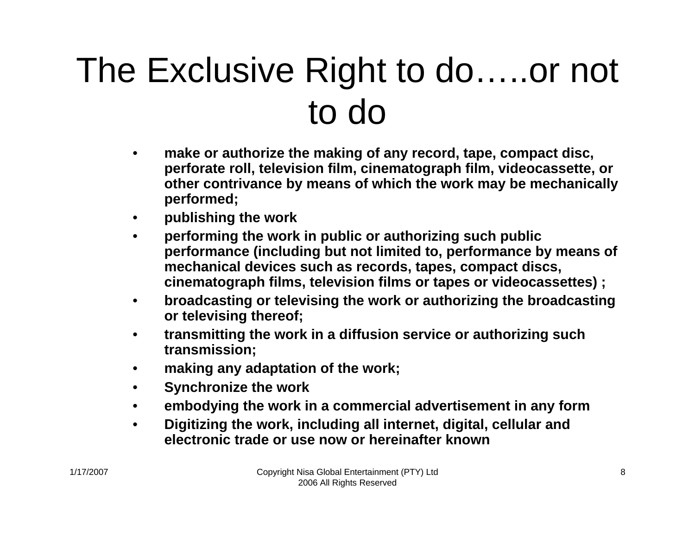### The Exclusive Right to do…..or not to do

- • **make or authorize the making of any record, tape, compact disc, perforate roll, television film, cinematograph film, videocassette, or other contrivance by means of which the work may be mechanically performed;**
- •**publishing the work**
- • **performing the work in public or authorizing such public performance (including but not limited to, performance by means of mechanical devices such as records, tapes, compact discs, cinematograph films, television films or tapes or videocassettes) ;**
- • **broadcasting or televising the work or authorizing the broadcasting or televising thereof;**
- • **transmitting the work in a diffusion service or authorizing such transmission;**
- •**making any adaptation of the work;**
- •**Synchronize the work**
- •**embodying the work in a commercial advertisement in any form**
- • **Digitizing the work, including all internet, digital, cellular and electronic trade or use now or hereinafter known**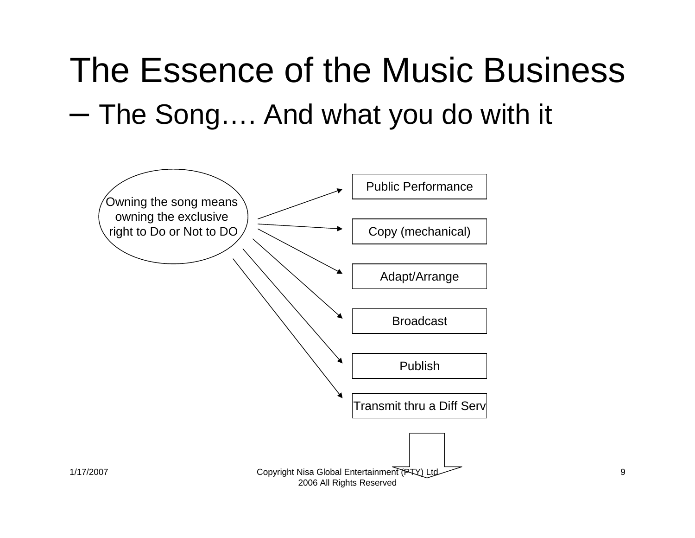### The Essence of the Music Business  $-$  The Song…. And what you do with it

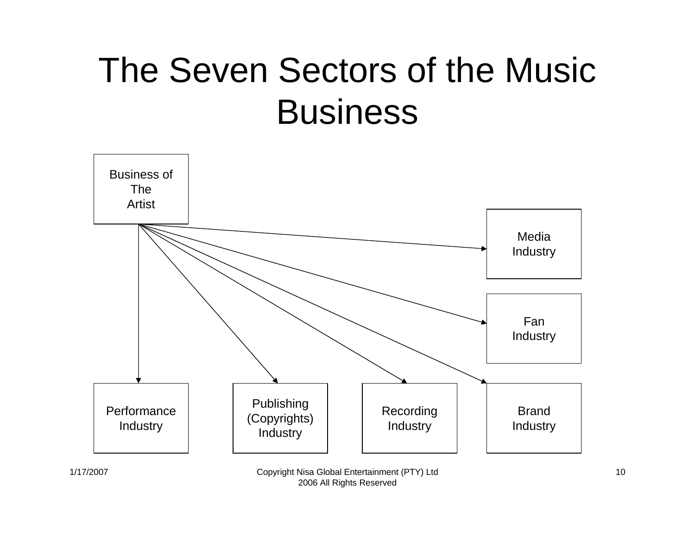### The Seven Sectors of the Music **Business**



#### 1/17/2007 Copyright Nisa Global Entertainment (PTY) Ltd 2006 All Rights Reserved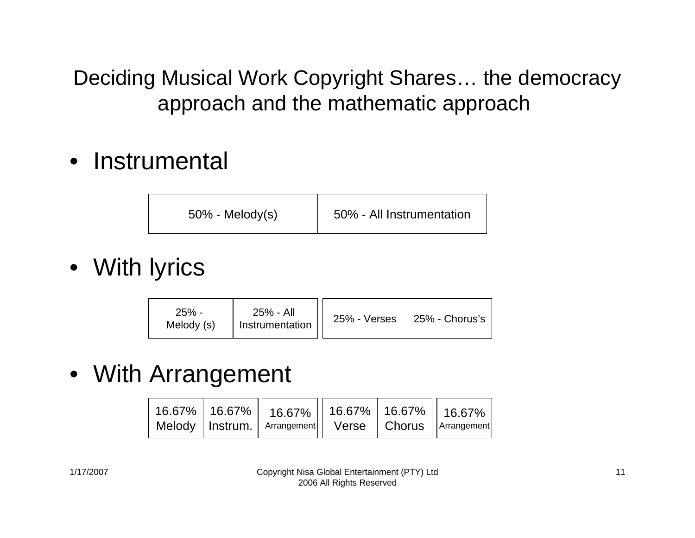Deciding Musical Work Copyright Shares… the democracy approach and the mathematic approach

• Instrumental

| $50\%$ - Melody(s) | 50% - All Instrumentation |
|--------------------|---------------------------|
|--------------------|---------------------------|

• With lyrics

| 25% - All<br>$25% -$<br>Instrumentation<br>Melody (s) |  | $25\%$ - Verses   25% - Chorus's |
|-------------------------------------------------------|--|----------------------------------|
|-------------------------------------------------------|--|----------------------------------|

#### • With Arrangement

| $\mid$ 16.67% $\mid$ 16.67% $\mid$ 16.67% $\mid$ 16.67% $\mid$ 16.67% $\mid$ 16.67% $\mid$<br>  Melody   Instrum.   Arrangement   Verse   Chorus   Arrangement |  |  |  |
|----------------------------------------------------------------------------------------------------------------------------------------------------------------|--|--|--|
|----------------------------------------------------------------------------------------------------------------------------------------------------------------|--|--|--|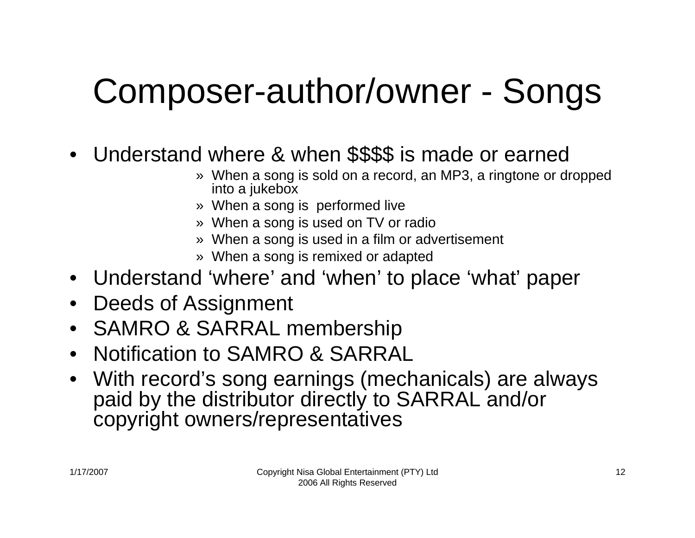### Composer-author/owner - Songs

- Understand where & when \$\$\$\$ is made or earned
	- » When a song is sold on a record, an MP3, a ringtone or dropped into a jukebox
	- » When a song is performed live
	- » When a song is used on TV or radio
	- » When a song is used in a film or advertisement
	- » When a song is remixed or adapted
- Understand 'where' and 'when' to place 'what' paper
- •Deeds of Assignment
- SAMRO & SARRAL membership
- •Notification to SAMRO & SARRAL
- With record's song earnings (mechanicals) are always paid by the distributor directly to SARRAL and/or copyright owners/representatives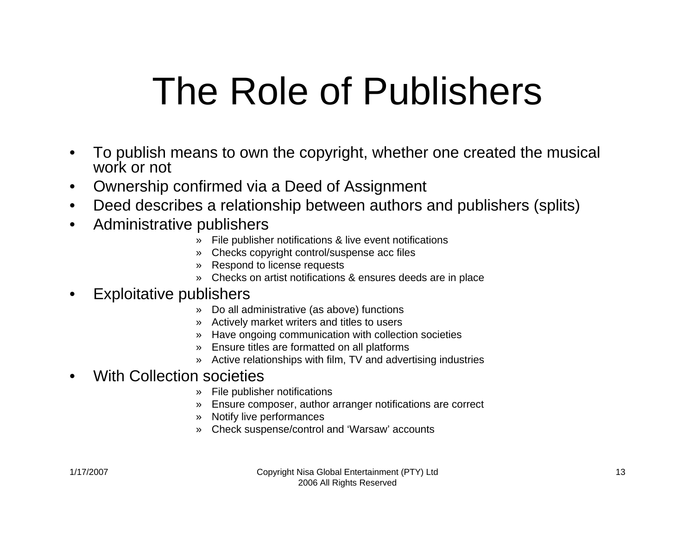# The Role of Publishers

- • To publish means to own the copyright, whether one created the musical work or not
- •Ownership confirmed via a Deed of Assignment
- •Deed describes a relationship between authors and publishers (splits)
- • Administrative publishers
	- » File publisher notifications & live event notifications
	- » Checks copyright control/suspense acc files
	- » Respond to license requests
	- » Checks on artist notifications & ensures deeds are in place

#### •Exploitative publishers

- » Do all administrative (as above) functions
- » Actively market writers and titles to users
- » Have ongoing communication with collection societies
- » Ensure titles are formatted on all platforms
- » Active relationships with film, TV and advertising industries

#### •With Collection societies

- » File publisher notifications
- » Ensure composer, author arranger notifications are correct
- » Notify live performances
- » Check suspense/control and 'Warsaw' accounts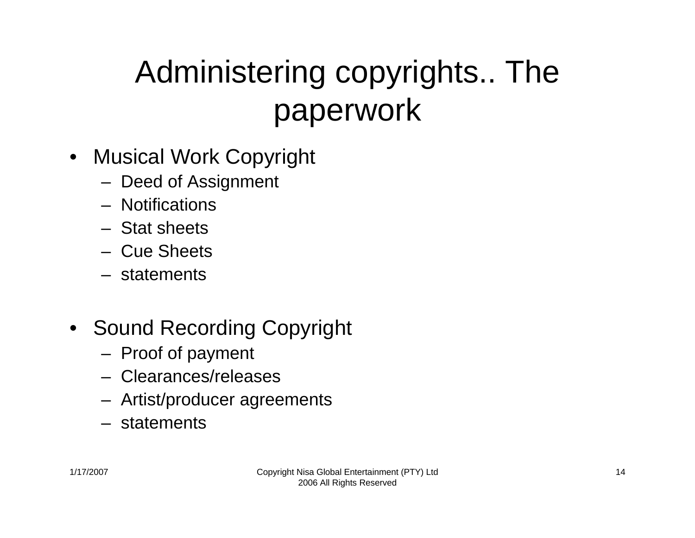### Administering copyrights.. The paperwork

- Musical Work Copyright
	- Deed of Assignment
	- Notifications
	- Stat sheets
	- Cue Sheets
	- statements
- Sound Recording Copyright
	- Proof of payment
	- Clearances/releases
	- Artist/producer agreements
	- statements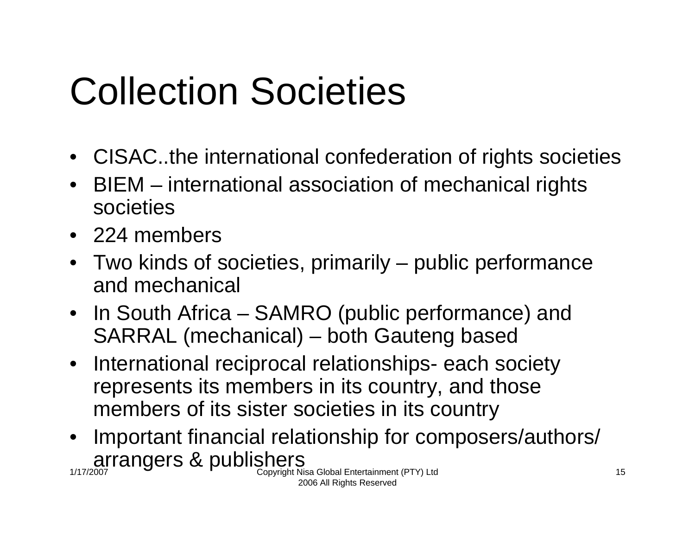# Collection Societies

- CISAC..the international confederation of rights societies
- BIEM international association of mechanical rights societies
- 224 members
- Two kinds of societies, primarily public performance and mechanical
- In South Africa SAMRO (public performance) and SARRAL (mechanical) – both Gauteng based
- International reciprocal relationships- each society represents its members in its country, and those members of its sister societies in its country
- $\arctan_2$  arrangers & publishers copyright Nisa Global Entertainment (PTY) Ltd • Important financial relationship for composers/authors/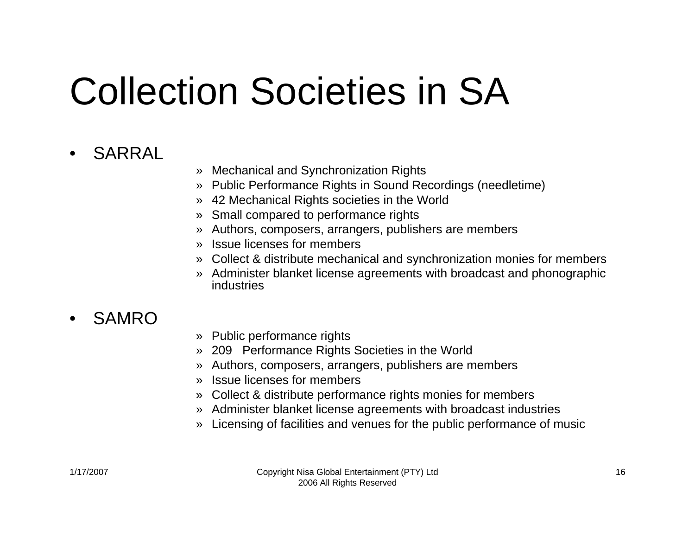# Collection Societies in SA

#### •SARRAL

- » Mechanical and Synchronization Rights
- » Public Performance Rights in Sound Recordings (needletime)
- » 42 Mechanical Rights societies in the World
- » Small compared to performance rights
- » Authors, composers, arrangers, publishers are members
- » Issue licenses for members
- » Collect & distribute mechanical and synchronization monies for members
- » Administer blanket license agreements with broadcast and phonographic industries

#### •SAMRO

- » Public performance rights
- » 209 Performance Rights Societies in the World
- » Authors, composers, arrangers, publishers are members
- » Issue licenses for members
- » Collect & distribute performance rights monies for members
- » Administer blanket license agreements with broadcast industries
- » Licensing of facilities and venues for the public performance of music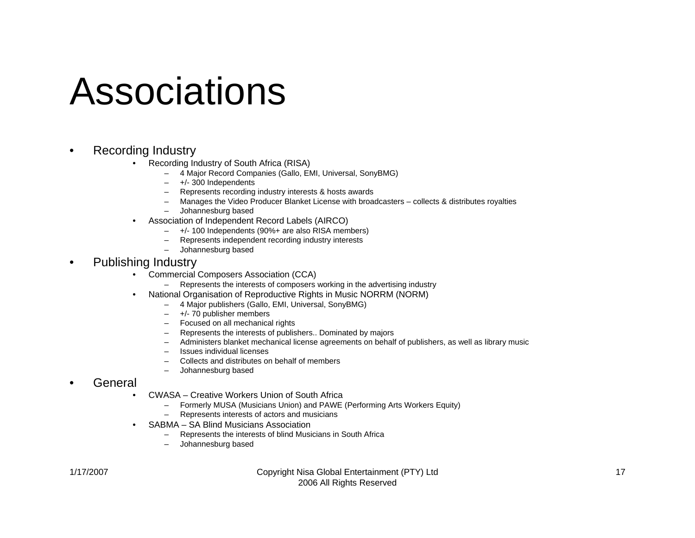## Associations

- • Recording Industry
	- • Recording Industry of South Africa (RISA)
		- –4 Major Record Companies (Gallo, EMI, Universal, SonyBMG)
		- +/- 300 Independents
		- Represents recording industry interests & hosts awards
		- Manages the Video Producer Blanket License with broadcasters collects & distributes royalties
		- Johannesburg based
	- • Association of Independent Record Labels (AIRCO)
		- –+/- 100 Independents (90%+ are also RISA members)
		- Represents independent recording industry interests
		- $\equiv$ Johannesburg based
- •Publishing Industry

•

- • Commercial Composers Association (CCA)
	- –Represents the interests of composers working in the advertising industry
- • National Organisation of Reproductive Rights in Music NORRM (NORM)
	- 4 Major publishers (Gallo, EMI, Universal, SonyBMG)
	- –+/- 70 publisher members
	- Focused on all mechanical rights
	- $\sim$ Represents the interests of publishers.. Dominated by majors
	- –Administers blanket mechanical license agreements on behalf of publishers, as well as library music
	- –Issues individual licenses
	- Collects and distributes on behalf of members
	- –Johannesburg based
- • General
	- • CWASA – Creative Workers Union of South Africa
		- Formerly MUSA (Musicians Union) and PAWE (Performing Arts Workers Equity)
		- $\sim$ Represents interests of actors and musicians
	- SABMA SA Blind Musicians Association
		- Represents the interests of blind Musicians in South Africa
		- Johannesburg based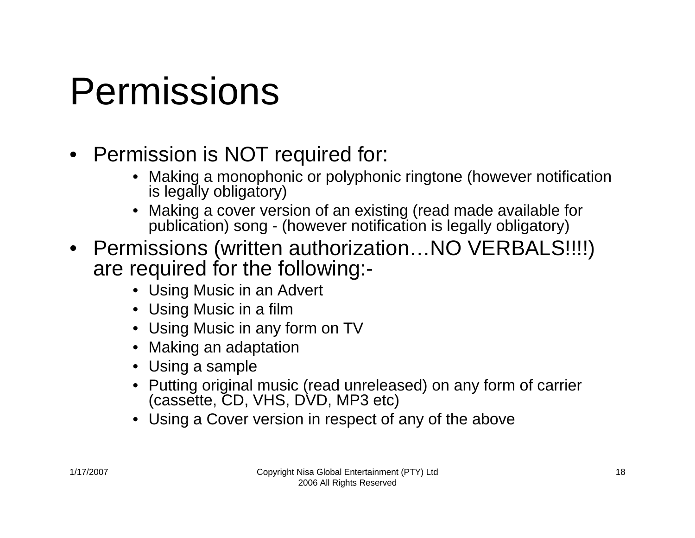## Permissions

- Permission is NOT required for:
	- Making a monophonic or polyphonic ringtone (however notification is legally obligatory)
	- Making a cover version of an existing (read made available for publication) song - (however notification is legally obligatory)
- Permissions (written authorization...NO VERBALS!!!!) are required for the following:-
	- Using Music in an Advert
	- Using Music in a film
	- Using Music in any form on TV
	- •Making an adaptation
	- Using a sample
	- Putting original music (read unreleased) on any form of carrier (cassette, CD, VHS, DVD, MP3 etc)
	- Using a Cover version in respect of any of the above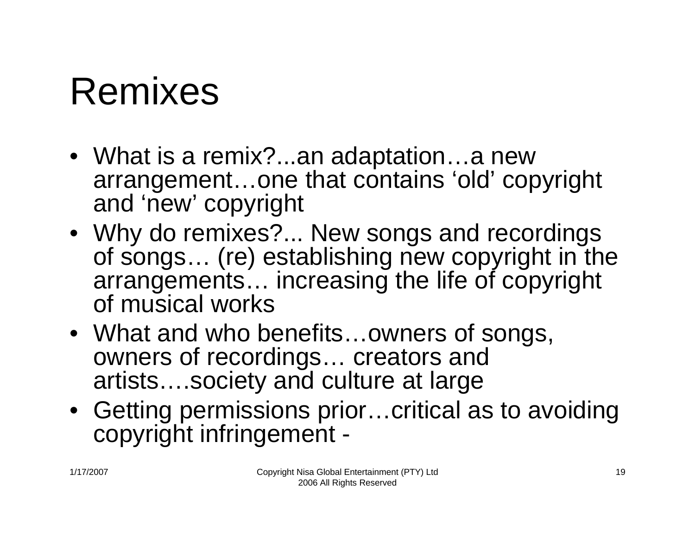## Remixes

- What is a remix?...an adaptation…a new arrangement…one that contains 'old' copyright and 'new' copyright
- Why do remixes?... New songs and recordings of songs… (re) establishing new copyright in the arrangements… increasing the life of copyright of musical works
- What and who benefits…owners of songs, owners of recordings… creators and artists….society and culture at large
- Getting permissions prior…critical as to avoiding copyright infringement -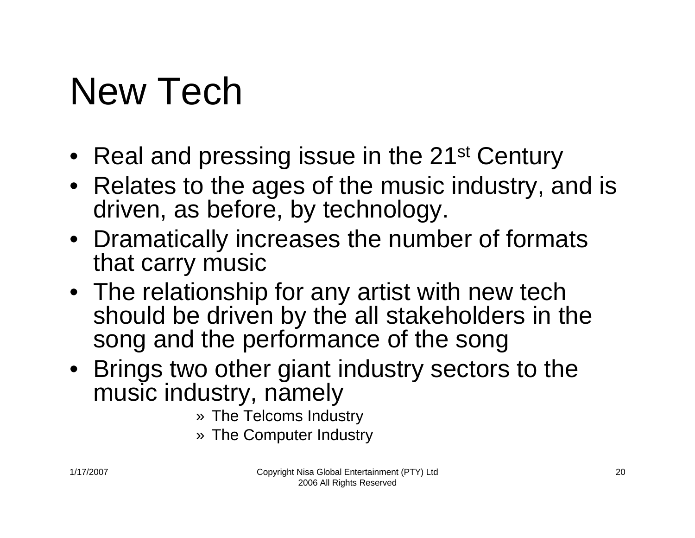# New Tech

- Real and pressing issue in the 21st Century
- Relates to the ages of the music industry, and is driven, as before, by technology.
- Dramatically increases the number of formats that carry music
- The relationship for any artist with new tech should be driven by the all stakeholders in the song and the performance of the song
- Brings two other giant industry sectors to the music industry, namely
	- » The Telcoms Industry
	- » The Computer Industry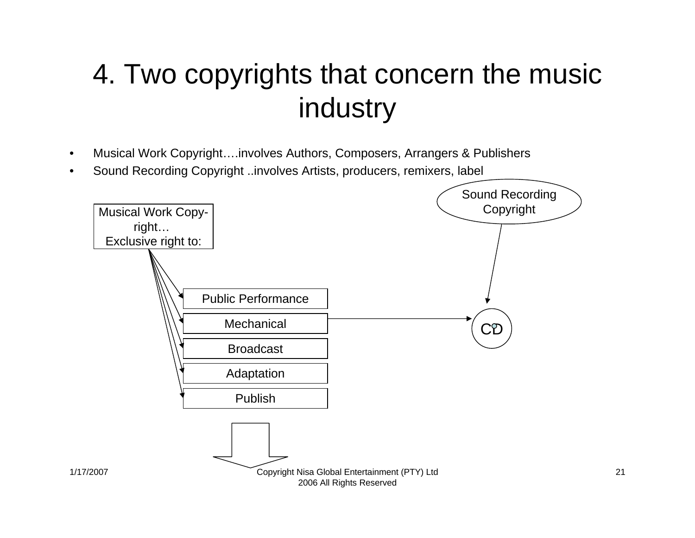#### 4. Two copyrights that concern the music industry

- •Musical Work Copyright….involves Authors, Composers, Arrangers & Publishers
- •Sound Recording Copyright ..involves Artists, producers, remixers, label



21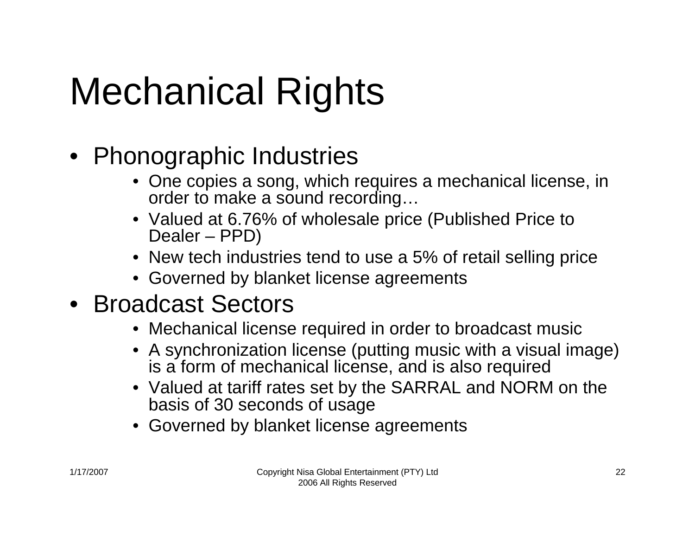# Mechanical Rights

#### • Phonographic Industries

- One copies a song, which requires a mechanical license, in order to make a sound recording…
- Valued at 6.76% of wholesale price (Published Price to Dealer – PPD)
- New tech industries tend to use a 5% of retail selling price
- Governed by blanket license agreements

#### • Broadcast Sectors

- Mechanical license required in order to broadcast music
- A synchronization license (putting music with a visual image) is a form of mechanical license, and is also required
- Valued at tariff rates set by the SARRAL and NORM on the basis of 30 seconds of usage
- Governed by blanket license agreements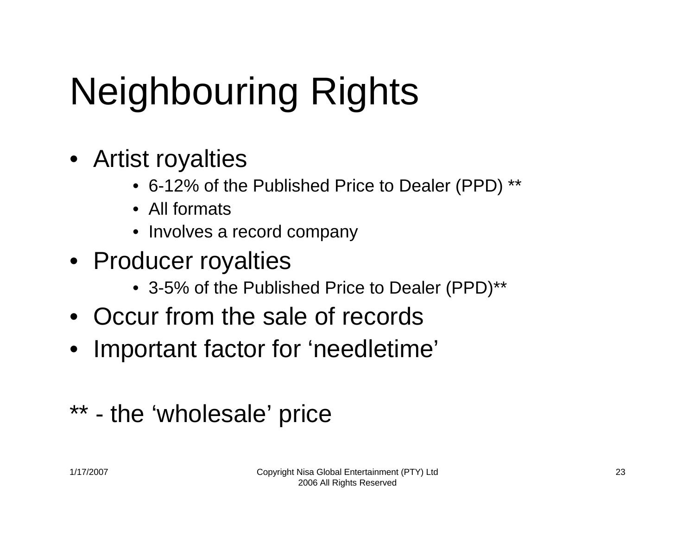# Neighbouring Rights

- Artist royalties
	- 6-12% of the Published Price to Dealer (PPD) \*\*
	- All formats
	- Involves a record company
- Producer royalties
	- 3-5% of the Published Price to Dealer (PPD)\*\*
- Occur from the sale of records
- Important factor for 'needletime'

#### \*\* - the 'wholesale' price